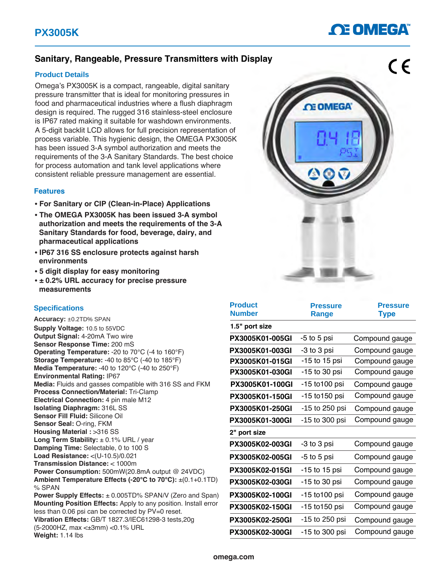## **OE OMEGA**

### **Sanitary, Rangeable, Pressure Transmitters with Display**

#### **Product Details**

Omega's PX3005K is a compact, rangeable, digital sanitary pressure transmitter that is ideal for monitoring pressures in food and pharmaceutical industries where a flush diaphragm design is required. The rugged 316 stainless-steel enclosure is IP67 rated making it suitable for washdown environments. A 5-digit backlit LCD allows for full precision representation of process variable. This hygienic design, the OMEGA PX3005K has been issued 3-A symbol authorization and meets the requirements of the 3-A Sanitary Standards. The best choice for process automation and tank level applications where consistent reliable pressure management are essential.

#### **Features**

- **• For Sanitary or CIP (Clean-in-Place) Applications**
- **• The OMEGA PX3005K has been issued 3-A symbol authorization and meets the requirements of the 3-A Sanitary Standards for food, beverage, dairy, and pharmaceutical applications**
- **• IP67 316 SS enclosure protects against harsh environments**
- **• 5 digit display for easy monitoring**
- **• ± 0.2% URL accuracy for precise pressure measurements**

#### **Specifications**

**Accuracy:** ±0.2TD% SPAN **Supply Voltage:** 10.5 to 55VDC **Output Signal:** 4-20mA Two wire **Sensor Response Time:** 200 mS **Operating Temperature:** -20 to 70°C (-4 to 160°F) **Storage Temperature:** -40 to 85°C (-40 to 185°F) **Media Temperature:** -40 to 120°C (-40 to 250°F) **Environmental Rating:** IP67 **Media:** Fluids and gasses compatible with 316 SS and FKM **Process Connection/Material:** Tri-Clamp **Electrical Connection: 4 pin male M12 Isolating Diaphragm:** 316L SS **Sensor Fill Fluid:** Silicone Oil **Sensor Seal:** O-ring, FKM **Housing Material :** >316 SS **Long Term Stability:** ± 0.1% URL / year **Damping Time:** Selectable, 0 to 100 S **Load Resistance:** <(U-10.5)/0.021 **Transmission Distance:** < 1000m **Power Consumption:** 500mW(20.8mA output @ 24VDC) **Ambient Temperature Effects (-20°C to 70°C):** ±(0.1+0.1TD) % SPAN **Power Supply Effects:** ± 0.005TD% SPAN/V (Zero and Span) **Mounting Position Effects:** Apply to any position. Install error less than 0.06 psi can be corrected by PV=0 reset. **Vibration Effects:** GB/T 1827.3/IEC61298-3 tests,20g (5-2000HZ, max <±3mm) <0.1% URL

**Weight:** 1.14 lbs



| <b>Product</b><br><b>Number</b> | <b>Pressure</b><br>Range | <b>Pressure</b><br><b>Type</b> |
|---------------------------------|--------------------------|--------------------------------|
| 1.5" port size                  |                          |                                |
| PX3005K01-005GI                 | -5 to 5 psi              | Compound gauge                 |
| PX3005K01-003GI                 | -3 to 3 psi              | Compound gauge                 |
| <b>PX3005K01-015GI</b>          | -15 to 15 psi            | Compound gauge                 |
| PX3005K01-030GI                 | -15 to 30 psi            | Compound gauge                 |
| PX3005K01-100GI                 | -15 to 100 psi           | Compound gauge                 |
| PX3005K01-150GI                 | -15 to 150 psi           | Compound gauge                 |
| PX3005K01-250GI                 | -15 to 250 psi           | Compound gauge                 |
| PX3005K01-300GI                 | -15 to 300 psi           | Compound gauge                 |
| 2" port size                    |                          |                                |
| PX3005K02-003GI                 | -3 to 3 psi              | Compound gauge                 |
| PX3005K02-005GI                 | -5 to 5 psi              | Compound gauge                 |
| PX3005K02-015GI                 | -15 to 15 psi            | Compound gauge                 |
| PX3005K02-030GI                 | -15 to 30 psi            | Compound gauge                 |
| PX3005K02-100GI                 | -15 to100 psi            | Compound gauge                 |
| PX3005K02-150GI                 | -15 to150 psi            | Compound gauge                 |
| PX3005K02-250GI                 | -15 to 250 psi           | Compound gauge                 |
| PX3005K02-300GI                 | -15 to 300 psi           | Compound gauge                 |